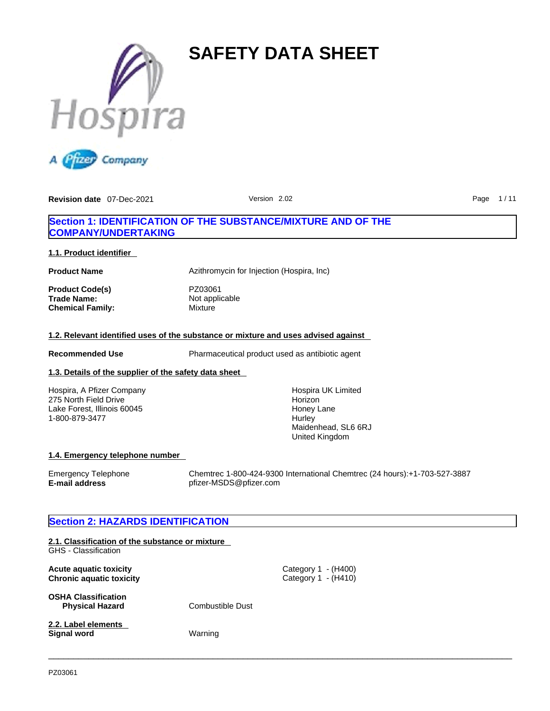



# **Section 1: IDENTIFICATION OF THE SUBSTANCE/MIXTURE AND OF THE COMPANY/UNDERTAKING**

## **1.1. Product identifier**

**Chemical Family:** 

**Product Name Azithromycin for Injection (Hospira, Inc)** 

**Product Code(s)** PZ03061 **Trade Name:** Not applicable<br> **Chemical Family:** Mixture

## **1.2. Relevant identified uses of the substance or mixture and uses advised against**

**Recommended Use** Pharmaceutical product used as antibiotic agent

 $\_$  ,  $\_$  ,  $\_$  ,  $\_$  ,  $\_$  ,  $\_$  ,  $\_$  ,  $\_$  ,  $\_$  ,  $\_$  ,  $\_$  ,  $\_$  ,  $\_$  ,  $\_$  ,  $\_$  ,  $\_$  ,  $\_$  ,  $\_$  ,  $\_$  ,  $\_$  ,  $\_$  ,  $\_$  ,  $\_$  ,  $\_$  ,  $\_$  ,  $\_$  ,  $\_$  ,  $\_$  ,  $\_$  ,  $\_$  ,  $\_$  ,  $\_$  ,  $\_$  ,  $\_$  ,  $\_$  ,  $\_$  ,  $\_$  ,

# **1.3. Details of the supplier of the safety data sheet**

Hospira, A Pfizer Company 275 North Field Drive Lake Forest, Illinois 60045 1-800-879-3477

Hospira UK Limited **Horizon** Honey Lane **Hurley** Maidenhead, SL6 6RJ United Kingdom

## **1.4. Emergency telephone number**

**E-mail address** pfizer-MSDS@pfizer.com

Emergency Telephone Chemtrec 1-800-424-9300 International Chemtrec (24 hours):+1-703-527-3887

# **Section 2: HAZARDS IDENTIFICATION**

| 2.1. Classification of the substance or mixture<br>GHS - Classification |                  |                                              |
|-------------------------------------------------------------------------|------------------|----------------------------------------------|
| Acute aguatic toxicity<br><b>Chronic aquatic toxicity</b>               |                  | Category $1 - (H400)$<br>Category 1 - (H410) |
| <b>OSHA Classification</b><br><b>Physical Hazard</b>                    | Combustible Dust |                                              |
| 2.2. Label elements<br><b>Signal word</b>                               | Warning          |                                              |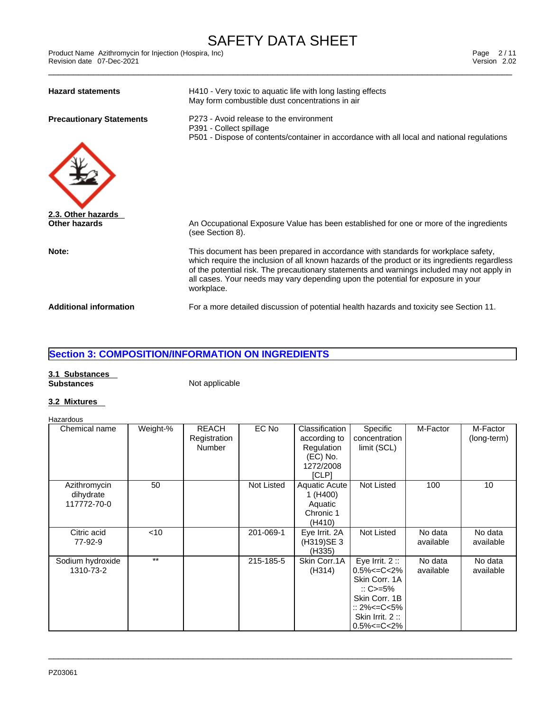| <b>Hazard statements</b>            | H410 - Very toxic to aquatic life with long lasting effects<br>May form combustible dust concentrations in air                                                                                                                                                                                                                                                                      |
|-------------------------------------|-------------------------------------------------------------------------------------------------------------------------------------------------------------------------------------------------------------------------------------------------------------------------------------------------------------------------------------------------------------------------------------|
| <b>Precautionary Statements</b>     | P273 - Avoid release to the environment<br>P391 - Collect spillage<br>P501 - Dispose of contents/container in accordance with all local and national regulations                                                                                                                                                                                                                    |
|                                     |                                                                                                                                                                                                                                                                                                                                                                                     |
| 2.3. Other hazards<br>Other hazards | An Occupational Exposure Value has been established for one or more of the ingredients<br>(see Section 8).                                                                                                                                                                                                                                                                          |
| Note:                               | This document has been prepared in accordance with standards for workplace safety,<br>which require the inclusion of all known hazards of the product or its ingredients regardless<br>of the potential risk. The precautionary statements and warnings included may not apply in<br>all cases. Your needs may vary depending upon the potential for exposure in your<br>workplace. |
| <b>Additional information</b>       | For a more detailed discussion of potential health hazards and toxicity see Section 11.                                                                                                                                                                                                                                                                                             |

# **Section 3: COMPOSITION/INFORMATION ON INGREDIENTS**

# **3.1 Substances**

**Substances** Not applicable

# **3.2 Mixtures**

#### Hazardous

| Chemical name                            | Weight-% | <b>REACH</b><br>Registration<br><b>Number</b> | EC No      | Classification<br>according to<br>Regulation<br>$(EC)$ No.<br>1272/2008<br>[CLP] | Specific<br>concentration<br>limit (SCL)                                                                                                                | M-Factor             | M-Factor<br>(long-term) |
|------------------------------------------|----------|-----------------------------------------------|------------|----------------------------------------------------------------------------------|---------------------------------------------------------------------------------------------------------------------------------------------------------|----------------------|-------------------------|
| Azithromycin<br>dihydrate<br>117772-70-0 | 50       |                                               | Not Listed | <b>Aquatic Acute</b><br>1 (H400)<br>Aquatic<br>Chronic 1<br>(H410)               | Not Listed                                                                                                                                              | 100                  | 10                      |
| Citric acid<br>77-92-9                   | $<$ 10   |                                               | 201-069-1  | Eye Irrit. 2A<br>(H319)SE 3<br>(H335)                                            | Not Listed                                                                                                                                              | No data<br>available | No data<br>available    |
| Sodium hydroxide<br>1310-73-2            | $***$    |                                               | 215-185-5  | Skin Corr.1A<br>(H314)                                                           | Eye Irrit. $2::$<br>$0.5\% < = C < 2\%$<br>Skin Corr. 1A<br>$\therefore$ C>=5%<br>Skin Corr. 1B<br>:: 2%<=C<5%<br>Skin Irrit. 2:<br>$0.5\% < = C < 2\%$ | No data<br>available | No data<br>available    |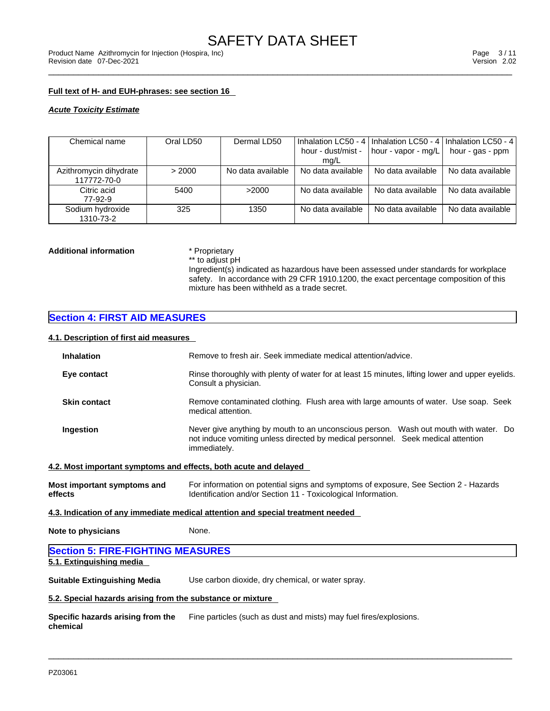## **Full text of H- and EUH-phrases: see section 16**

*Acute Toxicity Estimate*

| Chemical name          | Oral LD50 | Dermal LD50       |                    |                     | Inhalation LC50 - 4   Inhalation LC50 - 4   Inhalation LC50 - 4 |  |
|------------------------|-----------|-------------------|--------------------|---------------------|-----------------------------------------------------------------|--|
|                        |           |                   | hour - dust/mist - | hour - vapor - mg/L | hour - gas - ppm                                                |  |
|                        |           |                   | mg/L               |                     |                                                                 |  |
| Azithromycin dihydrate | > 2000    | No data available | No data available  | No data available   | No data available                                               |  |
| 117772-70-0            |           |                   |                    |                     |                                                                 |  |
| Citric acid            | 5400      | >2000             | No data available  | No data available   | No data available                                               |  |
| 77-92-9                |           |                   |                    |                     |                                                                 |  |
| Sodium hydroxide       | 325       | 1350              | No data available  | No data available   | No data available                                               |  |
| 1310-73-2              |           |                   |                    |                     |                                                                 |  |

# **Additional information** \* Proprietary<br>\*\* to adjust pH

Ingredient(s) indicated as hazardous have been assessed under standards for workplace safety. In accordance with 29 CFR 1910.1200, the exact percentage composition of this mixture has been withheld as a trade secret.

# **Section 4: FIRST AID MEASURES**

# **4.1. Description of first aid measures**

| 7. 1. Description or mist ald measures                           |                                                                                                                                                                                          |
|------------------------------------------------------------------|------------------------------------------------------------------------------------------------------------------------------------------------------------------------------------------|
| <b>Inhalation</b>                                                | Remove to fresh air. Seek immediate medical attention/advice.                                                                                                                            |
| Eye contact                                                      | Rinse thoroughly with plenty of water for at least 15 minutes, lifting lower and upper eyelids.<br>Consult a physician.                                                                  |
| <b>Skin contact</b>                                              | Remove contaminated clothing. Flush area with large amounts of water. Use soap. Seek<br>medical attention.                                                                               |
| Ingestion                                                        | Never give anything by mouth to an unconscious person. Wash out mouth with water. Do<br>not induce vomiting unless directed by medical personnel. Seek medical attention<br>immediately. |
| 4.2. Most important symptoms and effects, both acute and delayed |                                                                                                                                                                                          |
| Most important symptoms and<br>effects                           | For information on potential signs and symptoms of exposure, See Section 2 - Hazards<br>Identification and/or Section 11 - Toxicological Information.                                    |
|                                                                  | 4.3. Indication of any immediate medical attention and special treatment needed                                                                                                          |
| Note to physicians                                               | None.                                                                                                                                                                                    |
| <b>Section 5: FIRE-FIGHTING MEASURES</b>                         |                                                                                                                                                                                          |
| 5.1. Extinguishing media                                         |                                                                                                                                                                                          |
| Suitable Extinguishing Media                                     | Use carbon dioxide, dry chemical, or water spray.                                                                                                                                        |
| 5.2. Special hazards arising from the substance or mixture       |                                                                                                                                                                                          |
| Specific hazards arising from the                                | Fine particles (such as dust and mists) may fuel fires/explosions.                                                                                                                       |

 $\_$  ,  $\_$  ,  $\_$  ,  $\_$  ,  $\_$  ,  $\_$  ,  $\_$  ,  $\_$  ,  $\_$  ,  $\_$  ,  $\_$  ,  $\_$  ,  $\_$  ,  $\_$  ,  $\_$  ,  $\_$  ,  $\_$  ,  $\_$  ,  $\_$  ,  $\_$  ,  $\_$  ,  $\_$  ,  $\_$  ,  $\_$  ,  $\_$  ,  $\_$  ,  $\_$  ,  $\_$  ,  $\_$  ,  $\_$  ,  $\_$  ,  $\_$  ,  $\_$  ,  $\_$  ,  $\_$  ,  $\_$  ,  $\_$  ,

**chemical**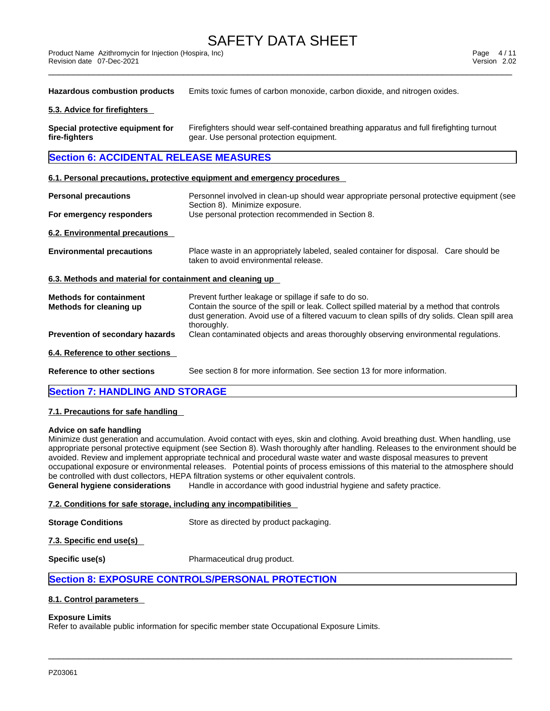| <b>Product Name</b> | Azithromycin for Injection (Hospira, Inc) | Page    | <i>A</i> / 4<br>$+$ , |
|---------------------|-------------------------------------------|---------|-----------------------|
| Revision date       | 07-Dec-2021                               | Version | 2.02                  |
|                     |                                           |         |                       |

**Hazardous combustion products** Emits toxic fumes of carbon monoxide, carbon dioxide, and nitrogen oxides.

### **5.3. Advice for firefighters**

**Special protective equipment for fire-fighters** Firefighters should wear self-contained breathing apparatus and full firefighting turnout gear. Use personal protection equipment.

# **Section 6: ACCIDENTAL RELEASE MEASURES**

### **6.1. Personal precautions, protective equipment and emergency procedures**

| <b>Personal precautions</b>                               | Personnel involved in clean-up should wear appropriate personal protective equipment (see<br>Section 8). Minimize exposure.                                                                                                                                            |
|-----------------------------------------------------------|------------------------------------------------------------------------------------------------------------------------------------------------------------------------------------------------------------------------------------------------------------------------|
| For emergency responders                                  | Use personal protection recommended in Section 8.                                                                                                                                                                                                                      |
| 6.2. Environmental precautions                            |                                                                                                                                                                                                                                                                        |
| <b>Environmental precautions</b>                          | Place waste in an appropriately labeled, sealed container for disposal. Care should be<br>taken to avoid environmental release.                                                                                                                                        |
| 6.3. Methods and material for containment and cleaning up |                                                                                                                                                                                                                                                                        |
| <b>Methods for containment</b><br>Methods for cleaning up | Prevent further leakage or spillage if safe to do so.<br>Contain the source of the spill or leak. Collect spilled material by a method that controls<br>dust generation. Avoid use of a filtered vacuum to clean spills of dry solids. Clean spill area<br>thoroughly. |
| <b>Prevention of secondary hazards</b>                    | Clean contaminated objects and areas thoroughly observing environmental regulations.                                                                                                                                                                                   |
| 6.4. Reference to other sections                          |                                                                                                                                                                                                                                                                        |
| Reference to other sections                               | See section 8 for more information. See section 13 for more information.                                                                                                                                                                                               |
|                                                           |                                                                                                                                                                                                                                                                        |

# **Section 7: HANDLING AND STORAGE**

## **7.1. Precautions for safe handling**

### **Advice on safe handling**

Minimize dust generation and accumulation. Avoid contact with eyes, skin and clothing. Avoid breathing dust. When handling, use appropriate personal protective equipment (see Section 8). Wash thoroughly after handling. Releases to the environment should be avoided. Review and implement appropriate technical and procedural waste water and waste disposal measures to prevent occupational exposure or environmental releases. Potential points of process emissions of this material to the atmosphere should be controlled with dust collectors, HEPA filtration systems or other equivalent controls.

 $\_$  ,  $\_$  ,  $\_$  ,  $\_$  ,  $\_$  ,  $\_$  ,  $\_$  ,  $\_$  ,  $\_$  ,  $\_$  ,  $\_$  ,  $\_$  ,  $\_$  ,  $\_$  ,  $\_$  ,  $\_$  ,  $\_$  ,  $\_$  ,  $\_$  ,  $\_$  ,  $\_$  ,  $\_$  ,  $\_$  ,  $\_$  ,  $\_$  ,  $\_$  ,  $\_$  ,  $\_$  ,  $\_$  ,  $\_$  ,  $\_$  ,  $\_$  ,  $\_$  ,  $\_$  ,  $\_$  ,  $\_$  ,  $\_$  ,

**General hygiene considerations** Handle in accordance with good industrial hygiene and safety practice.

## **7.2. Conditions for safe storage, including any incompatibilities**

**Storage Conditions** Store as directed by product packaging.

**7.3. Specific end use(s)** 

**Specific use(s)** Pharmaceutical drug product.

# **Section 8: EXPOSURE CONTROLS/PERSONAL PROTECTION**

## **8.1. Control parameters**

## **Exposure Limits**

Refer to available public information for specific member state Occupational Exposure Limits.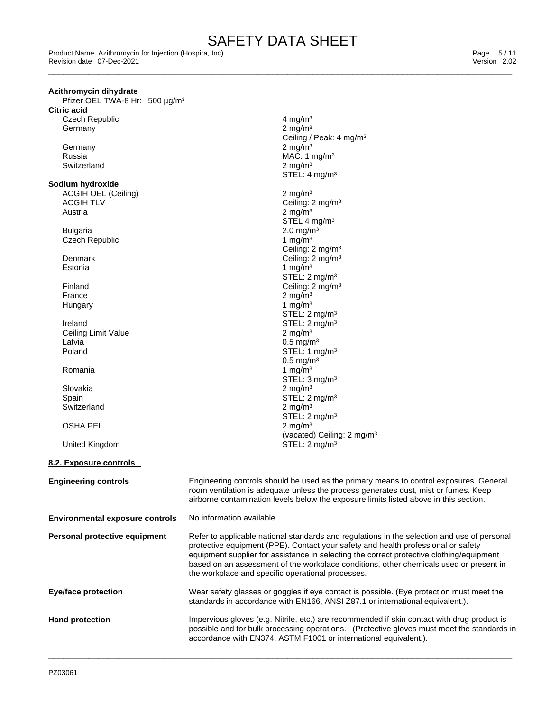Ceiling / Peak: 4 mg/m<sup>3</sup>

STEL: 4 mg/m<sup>3</sup>

Ceiling: 2 mg/m<sup>3</sup>

STEL: 2 mg/m<sup>3</sup>

STEL: 2 mg/m<sup>3</sup>

 $STEL: 1 mg/m<sup>3</sup>$ 0.5 mg/m<sup>3</sup><br>1 mg/m<sup>3</sup>

STEL: 3 mg/m<sup>3</sup>

STEL:  $2 \text{ mg/m}^3$ <br> $2 \text{ mg/m}^3$ 

(vacated) Ceiling: 2 mg/m<sup>3</sup><br>STEL: 2 mg/m<sup>3</sup>

 $2 \text{ mg/m}^3$ STEL 4 mg/m<sup>3</sup>

\_\_\_\_\_\_\_\_\_\_\_\_\_\_\_\_\_\_\_\_\_\_\_\_\_\_\_\_\_\_\_\_\_\_\_\_\_\_\_\_\_\_\_\_\_\_\_\_\_\_\_\_\_\_\_\_\_\_\_\_\_\_\_\_\_\_\_\_\_\_\_\_\_\_\_\_\_\_\_\_\_\_\_\_\_\_\_\_\_\_\_\_\_ Product Name Azithromycin for Injection (Hospira, Inc) Page 5 / 11 Revision date 07-Dec-2021 Version 2.02

### **Azithromycin dihydrate**

Pfizer OEL TWA-8 Hr: 500 µg/m<sup>3</sup> **Citric acid**

Czech Republic  $\frac{4 \text{ mg}}{m^3}$ <br>Germany 2 mg/m<sup>3</sup> **Germany** 

Germany 2 mg/m<sup>3</sup> Russia MAC: 1 mg/m<sup>3</sup> Switzerland 2 mg/m<sup>3</sup>

### **Sodium hydroxide**

ACGIH OEL (Ceiling) 2 mg/m<sup>3</sup><br>ACGIH TLV Ceiling: 2 ACGIH TLV  $\sim$   $\frac{3}{2}$  and  $\sim$  2 mg/m<sup>3</sup> ceiling: 2 mg/m<sup>3</sup>

Bulgaria 2.0 mg/m<sup>3</sup> Czech Republic 1 mg/m<sup>3</sup>

Denmark Ceiling: 2 mg/m<sup>3</sup> Estonia  $1 \text{ mg/m}^3$ 

- Finland Ceiling: 2 mg/m<sup>3</sup> France 2 mg/m<sup>3</sup> Hungary  $1 \text{ mg/m}^3$
- Ireland<br>
Ceiling Limit Value<br>
Ceiling Limit Value<br>
STEL: 2 mg/m<sup>3</sup> Ceiling Limit Value<br>Latvia Latvia 0.5 mg/m<sup>3</sup>
- Romania  $1 \text{ mg/m}^3$
- Slovakia  $\sim$  2 mg/m $^3$ Spain Spain Spain Stell: 2 mg/m<sup>3</sup> Switzerland 2 mg/m<sup>3</sup>

## **OSHA PEL**

United Kingdom

## **8.2. Exposure controls**

| <b>Engineering controls</b>            | Engineering controls should be used as the primary means to control exposures. General<br>room ventilation is adequate unless the process generates dust, mist or fumes. Keep<br>airborne contamination levels below the exposure limits listed above in this section.                                                                                                                                                      |
|----------------------------------------|-----------------------------------------------------------------------------------------------------------------------------------------------------------------------------------------------------------------------------------------------------------------------------------------------------------------------------------------------------------------------------------------------------------------------------|
| <b>Environmental exposure controls</b> | No information available.                                                                                                                                                                                                                                                                                                                                                                                                   |
| Personal protective equipment          | Refer to applicable national standards and regulations in the selection and use of personal<br>protective equipment (PPE). Contact your safety and health professional or safety<br>equipment supplier for assistance in selecting the correct protective clothing/equipment<br>based on an assessment of the workplace conditions, other chemicals used or present in<br>the workplace and specific operational processes. |
| <b>Eye/face protection</b>             | Wear safety glasses or goggles if eye contact is possible. (Eye protection must meet the<br>standards in accordance with EN166, ANSI Z87.1 or international equivalent.).                                                                                                                                                                                                                                                   |
| <b>Hand protection</b>                 | Impervious gloves (e.g. Nitrile, etc.) are recommended if skin contact with drug product is<br>possible and for bulk processing operations. (Protective gloves must meet the standards in<br>accordance with EN374, ASTM F1001 or international equivalent.).                                                                                                                                                               |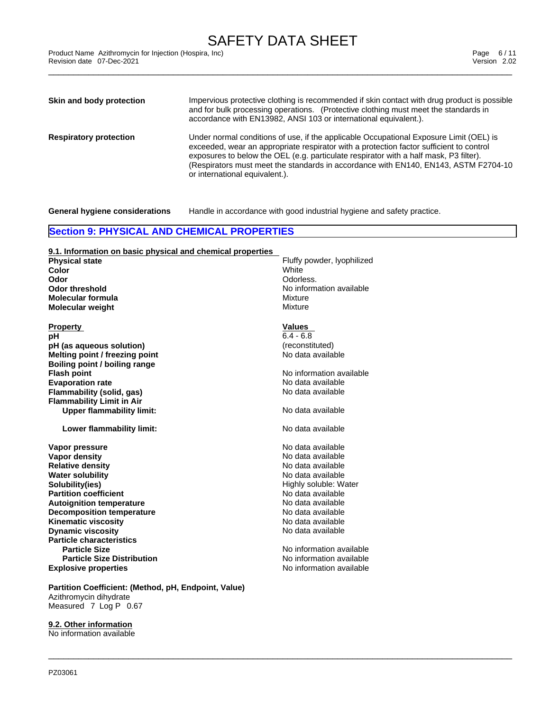\_\_\_\_\_\_\_\_\_\_\_\_\_\_\_\_\_\_\_\_\_\_\_\_\_\_\_\_\_\_\_\_\_\_\_\_\_\_\_\_\_\_\_\_\_\_\_\_\_\_\_\_\_\_\_\_\_\_\_\_\_\_\_\_\_\_\_\_\_\_\_\_\_\_\_\_\_\_\_\_\_\_\_\_\_\_\_\_\_\_\_\_\_ Product Name Azithromycin for Injection (Hospira, Inc) Page 6 / 11 Revision date 07-Dec-2021 Version 2.02

| Skin and body protection      | Impervious protective clothing is recommended if skin contact with drug product is possible<br>and for bulk processing operations. (Protective clothing must meet the standards in<br>accordance with EN13982, ANSI 103 or international equivalent.).                                                                                                                                              |
|-------------------------------|-----------------------------------------------------------------------------------------------------------------------------------------------------------------------------------------------------------------------------------------------------------------------------------------------------------------------------------------------------------------------------------------------------|
| <b>Respiratory protection</b> | Under normal conditions of use, if the applicable Occupational Exposure Limit (OEL) is<br>exceeded, wear an appropriate respirator with a protection factor sufficient to control<br>exposures to below the OEL (e.g. particulate respirator with a half mask, P3 filter).<br>(Respirators must meet the standards in accordance with EN140, EN143, ASTM F2704-10<br>or international equivalent.). |

**General hygiene considerations** Handle in accordance with good industrial hygiene and safety practice.

# **Section 9: PHYSICAL AND CHEMICAL PROPERTIES**

# **9.1. Information on basic physical and chemical properties**

**Color** White **Molecular formula**<br> **Molecular weight**<br> **Molecular weight Molecular** weight

Property **Values**<br> **pH** 6.4 - 6.8 **pH** 6.4 - 6.8 **pH (as aqueous solution)** (reconstituted) **Melting point / freezing point Boiling point / boiling range Flash point**<br> **Flash point**<br> **Evaporation rate**<br> **Evaporation rate Evaporation rate**<br> **Evaporation rate** No data available<br> **Flammability (solid. gas)**<br> **Evaporation rate** No data available **Flammability** (solid, gas) **Flammability Limit in Air Upper flammability limit:** No data available

**Lower flammability limit:** No data available

**Explosive properties Explosive properties No information available Vapor pressure**<br> **Vapor density**<br> **Vapor density**<br> **Vapor density Vapor density**<br> **Relative density**<br> **Relative density**<br> **No data available Relative density Water solubility No data available**<br> **Solubility ies and Solubility** Contract Manual Media and Muslim Media available<br>
Mighly soluble: Water **Partition coefficient**<br> **Autoignition temperature**<br> **Autoignition temperature**<br> **Autoignition temperature Autoignition temperature Decomposition temperature No data available** No data available **Kinematic viscosity**<br> **Community** Domain Domain Domain Domain Domain Domain Domain Domain Domain Domain Domain Domain Domain Domain Doma<br>
No data available **Dynamic** viscosity **Particle characteristics Particle Size No information available No information available Particle Size Distribution**

**Partition Coefficient: (Method, pH, Endpoint, Value)** Azithromycin dihydrate Measured 7 Log P 0.67

**9.2. Other information** No information available

**Physical state** Fluffy powder, lyophilized **Odor Odor Odorless. Odor threshold** No information available

Highly soluble: Water<br>No data available

No information available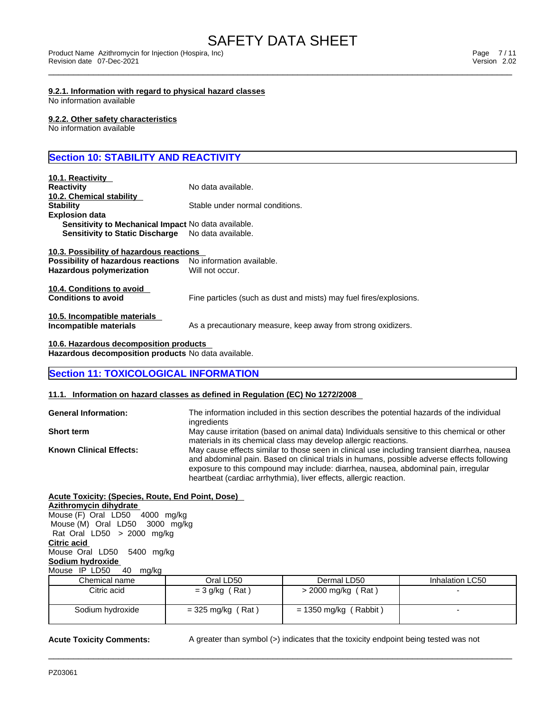#### **9.2.1. Information with regard to physical hazard classes** No information available

## **9.2.2. Other safety characteristics**

No information available

# **Section 10: STABILITY AND REACTIVITY**

| 10.1. Reactivity                                           |                                                                    |
|------------------------------------------------------------|--------------------------------------------------------------------|
| <b>Reactivity</b>                                          | No data available.                                                 |
| 10.2. Chemical stability                                   |                                                                    |
| <b>Stability</b>                                           | Stable under normal conditions.                                    |
| <b>Explosion data</b>                                      |                                                                    |
| <b>Sensitivity to Mechanical Impact No data available.</b> |                                                                    |
| <b>Sensitivity to Static Discharge</b>                     | No data available.                                                 |
| 10.3. Possibility of hazardous reactions                   |                                                                    |
| Possibility of hazardous reactions                         | No information available.                                          |
| Hazardous polymerization                                   | Will not occur.                                                    |
| 10.4. Conditions to avoid                                  |                                                                    |
| <b>Conditions to avoid</b>                                 | Fine particles (such as dust and mists) may fuel fires/explosions. |
| 10.5. Incompatible materials                               |                                                                    |
| Incompatible materials                                     | As a precautionary measure, keep away from strong oxidizers.       |
| 10.6. Hazardous decomposition products                     |                                                                    |
| Hazardous decomposition products No data available.        |                                                                    |

# **Section 11: TOXICOLOGICAL INFORMATION**

## **11.1. Information on hazard classes as defined in Regulation (EC) No 1272/2008**

| <b>General Information:</b>    | The information included in this section describes the potential hazards of the individual<br>ingredients                                                                                                                                                                        |
|--------------------------------|----------------------------------------------------------------------------------------------------------------------------------------------------------------------------------------------------------------------------------------------------------------------------------|
| <b>Short term</b>              | May cause irritation (based on animal data) Individuals sensitive to this chemical or other                                                                                                                                                                                      |
|                                | materials in its chemical class may develop allergic reactions.                                                                                                                                                                                                                  |
| <b>Known Clinical Effects:</b> | May cause effects similar to those seen in clinical use including transient diarrhea, nausea<br>and abdominal pain. Based on clinical trials in humans, possible adverse effects following<br>exposure to this compound may include: diarrhea, nausea, abdominal pain, irregular |
|                                | heartbeat (cardiac arrhythmia), liver effects, allergic reaction.                                                                                                                                                                                                                |

#### **Acute Toxicity: (Species, Route, End Point, Dose) Azithromycin dihydrate** Mouse (F) Oral LD50 4000 mg/kg

 Mouse (M) Oral LD50 3000 mg/kg Rat Oral LD50 > 2000 mg/kg **Citric acid** Mouse Oral LD50 5400 mg/kg **Sodium hydroxide** Mouse IP LD50 40 mg/kg

| ີ                |                     |                       |                 |
|------------------|---------------------|-----------------------|-----------------|
| Chemical name    | Oral LD50           | Dermal LD50           | Inhalation LC50 |
| Citric acid      | $=$ 3 g/kg (Rat)    | > 2000 mg/kg (Rat)    |                 |
| Sodium hydroxide | $=$ 325 mg/kg (Rat) | = 1350 mg/kg (Rabbit) |                 |

 $\_$  ,  $\_$  ,  $\_$  ,  $\_$  ,  $\_$  ,  $\_$  ,  $\_$  ,  $\_$  ,  $\_$  ,  $\_$  ,  $\_$  ,  $\_$  ,  $\_$  ,  $\_$  ,  $\_$  ,  $\_$  ,  $\_$  ,  $\_$  ,  $\_$  ,  $\_$  ,  $\_$  ,  $\_$  ,  $\_$  ,  $\_$  ,  $\_$  ,  $\_$  ,  $\_$  ,  $\_$  ,  $\_$  ,  $\_$  ,  $\_$  ,  $\_$  ,  $\_$  ,  $\_$  ,  $\_$  ,  $\_$  ,  $\_$  ,

**Acute Toxicity Comments:** A greater than symbol (>) indicates that the toxicity endpoint being tested was not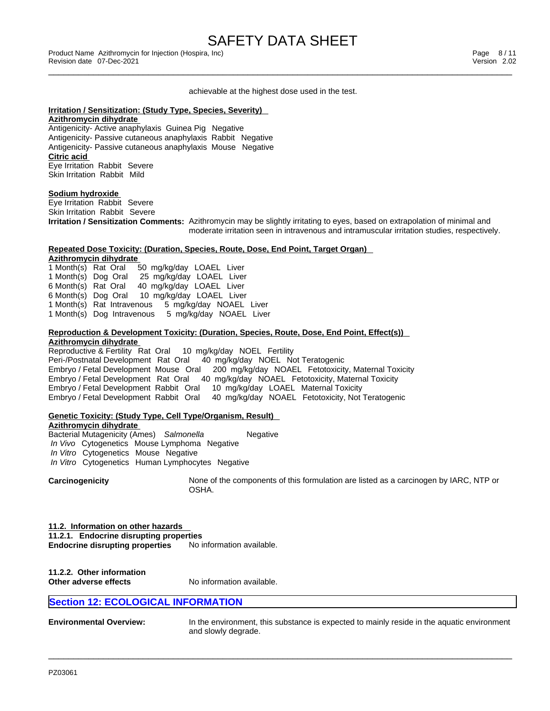# SAFETY DATA SHEET<br>Product Name Azithromycin for Injection (Hospira, Inc)

#### achievable at the highest dose used in the test.

### **Irritation / Sensitization: (Study Type, Species, Severity)**

**Azithromycin dihydrate** Antigenicity- Active anaphylaxis Guinea Pig Negative Antigenicity- Passive cutaneous anaphylaxis Rabbit Negative Antigenicity- Passive cutaneous anaphylaxis Mouse Negative **Citric acid**

Eye Irritation Rabbit Severe Skin Irritation Rabbit Mild

#### **Sodium hydroxide**

Eye Irritation Rabbit Severe Skin Irritation Rabbit Severe **Irritation / Sensitization Comments:** Azithromycin may be slightly irritating to eyes, based on extrapolation of minimal and moderate irritation seen in intravenous and intramuscular irritation studies, respectively.

### **Repeated Dose Toxicity: (Duration, Species, Route, Dose, End Point, Target Organ)**

**Azithromycin dihydrate** 1 Month(s) Rat Oral 50 mg/kg/day LOAEL Liver 1 Month(s) Dog Oral 25 mg/kg/day LOAEL Liver 6 Month(s) Rat Oral 40 mg/kg/day LOAEL Liver 6 Month(s) Dog Oral 10 mg/kg/day LOAEL Liver 1 Month(s) Rat Intravenous 5 mg/kg/day NOAEL Liver 1 Month(s) Dog Intravenous 5 mg/kg/day NOAEL Liver

# **Reproduction & Development Toxicity: (Duration, Species, Route, Dose, End Point, Effect(s)) Azithromycin dihydrate**

Reproductive & Fertility Rat Oral Peri-/Postnatal Development Rat Oral 40 mg/kg/day NOEL Not Teratogenic Embryo / Fetal Development Mouse Oral 200 mg/kg/day NOAEL Fetotoxicity, Maternal Toxicity Embryo / Fetal Development Rat Oral 40 mg/kg/day NOAEL Fetotoxicity, Maternal Toxicity Embryo / Fetal Development Rabbit Oral 10 mg/kg/day LOAEL Maternal Toxicity Embryo / Fetal Development Rabbit Oral 40 mg/kg/day NOAEL Fetotoxicity, Not Teratogenic

# **Genetic Toxicity: (Study Type, Cell Type/Organism, Result)**

**Azithromycin dihydrate** Bacterial Mutagenicity (Ames) Salmonella **Negative**  *In Vivo* Cytogenetics Mouse Lymphoma Negative  *In Vitro* Cytogenetics Mouse Negative  *In Vitro* Cytogenetics Human Lymphocytes Negative

**Carcinogenicity** None of the components of this formulation are listed as a carcinogen by IARC, NTP or OSHA.

## **11.2. Information on other hazards 11.2.1. Endocrine disrupting properties Endocrine disrupting properties** No information available.

**11.2.2. Other information Other adverse effects** No information available.

# **Section 12: ECOLOGICAL INFORMATION**

**Environmental Overview:** In the environment, this substance isexpected to mainly reside in the aquatic environment and slowly degrade.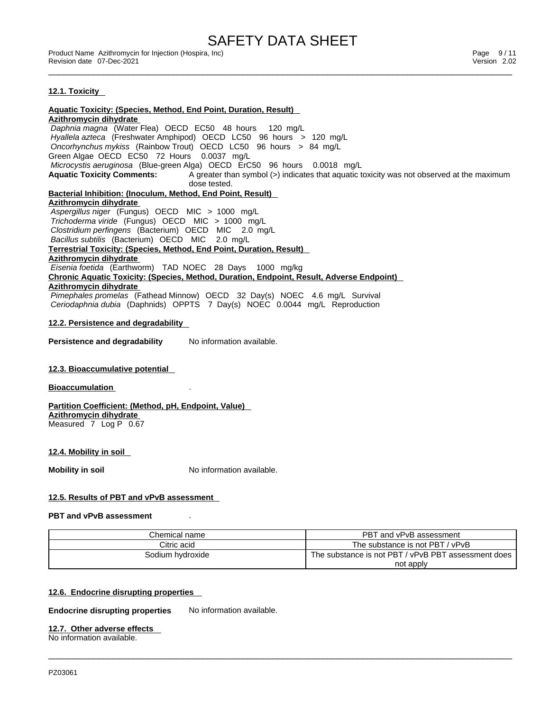SAFETY DATA SHEET<br>Product Name Azithromycin for Injection (Hospira, Inc)

\_\_\_\_\_\_\_\_\_\_\_\_\_\_\_\_\_\_\_\_\_\_\_\_\_\_\_\_\_\_\_\_\_\_\_\_\_\_\_\_\_\_\_\_\_\_\_\_\_\_\_\_\_\_\_\_\_\_\_\_\_\_\_\_\_\_\_\_\_\_\_\_\_\_\_\_\_\_\_\_\_\_\_\_\_\_\_\_\_\_\_\_\_ Product Name Azithromycin for Injection (Hospira, Inc) Page 9 / 11 Revision date 07-Dec-2021 **Version 2.02** 

### **12.1. Toxicity**

**Aquatic Toxicity: (Species, Method, End Point, Duration, Result) Azithromycin dihydrate**  *Daphnia magna* (Water Flea) OECD EC50 48 hours 120 mg/L  *Hyallela azteca* (Freshwater Amphipod) OECD LC50 96 hours > 120 mg/L  *Oncorhynchus mykiss* (Rainbow Trout) OECD LC50 96 hours > 84 mg/L Green Algae OECD EC50 72 Hours 0.0037 mg/L  *Microcystis aeruginosa* (Blue-green Alga) OECD ErC50 96 hours 0.0018 mg/L **Aquatic Toxicity Comments:** A greater than symbol (>) indicates that aquatic toxicity was not observed at the maximum dose tested. **Bacterial Inhibition: (Inoculum, Method, End Point, Result) Azithromycin dihydrate**  *Aspergillus niger* (Fungus) OECD MIC > 1000 mg/L  *Trichoderma viride* (Fungus) OECD MIC > 1000 mg/L  *Clostridium perfingens* (Bacterium) OECD MIC 2.0 mg/L  *Bacillus subtilis* (Bacterium) OECD MIC 2.0 mg/L **Terrestrial Toxicity: (Species, Method, End Point, Duration, Result) Azithromycin dihydrate**  *Eisenia foetida* (Earthworm) TAD NOEC 28 Days 1000 mg/kg **Chronic Aquatic Toxicity: (Species, Method, Duration, Endpoint, Result, Adverse Endpoint) Azithromycin dihydrate**  *Pimephales promelas* (Fathead Minnow) OECD 32 Day(s) NOEC 4.6 mg/L Survival  *Ceriodaphnia dubia* (Daphnids) OPPTS 7 Day(s) NOEC 0.0044 mg/L Reproduction **12.2. Persistence and degradability Persistence and degradability** No information available. **12.3. Bioaccumulative potential Bioaccumulation** . **Partition Coefficient: (Method, pH, Endpoint, Value) Azithromycin dihydrate** Measured 7 Log P 0.67 **12.4. Mobility in soil Mobility in soil Mobility in soil No** information available. **12.5. Results of PBT and vPvB assessment PBT and vPvB assessment** . Chemical name **PBT** and vPvB assessment Citric acid The substance is not PBT / vPvB

 $\_$  ,  $\_$  ,  $\_$  ,  $\_$  ,  $\_$  ,  $\_$  ,  $\_$  ,  $\_$  ,  $\_$  ,  $\_$  ,  $\_$  ,  $\_$  ,  $\_$  ,  $\_$  ,  $\_$  ,  $\_$  ,  $\_$  ,  $\_$  ,  $\_$  ,  $\_$  ,  $\_$  ,  $\_$  ,  $\_$  ,  $\_$  ,  $\_$  ,  $\_$  ,  $\_$  ,  $\_$  ,  $\_$  ,  $\_$  ,  $\_$  ,  $\_$  ,  $\_$  ,  $\_$  ,  $\_$  ,  $\_$  ,  $\_$  ,

Sodium hydroxide The substance is not PBT / vPvB PBT assessment does

not apply

### **12.6. Endocrine disrupting properties**

**Endocrine disrupting properties** No information available.

#### **12.7. Other adverse effects**

No information available.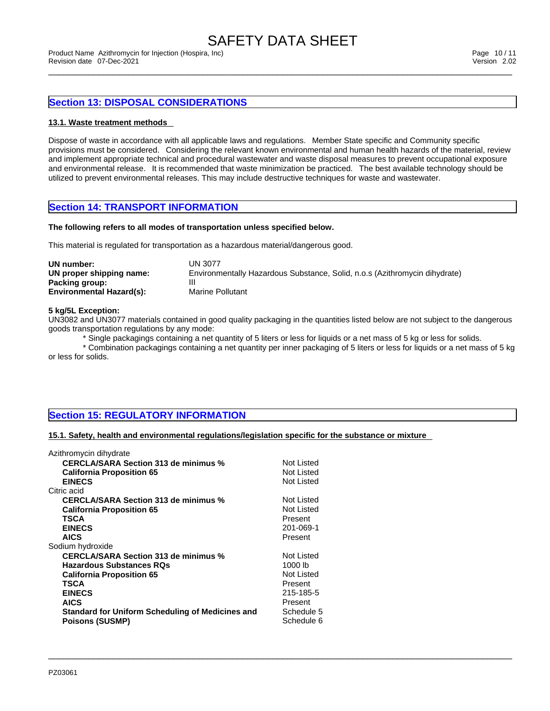# **Section 13: DISPOSAL CONSIDERATIONS**

### **13.1. Waste treatment methods**

Dispose of waste in accordance with all applicable laws and regulations. Member State specific and Community specific provisions must be considered. Considering the relevant known environmental and human health hazards of the material, review and implement appropriate technical and procedural wastewater and waste disposal measures to prevent occupational exposure and environmental release. It is recommended that waste minimization be practiced. The best available technology should be utilized to prevent environmental releases. This may include destructive techniques for waste and wastewater.

## **Section 14: TRANSPORT INFORMATION**

#### **The following refers to all modes of transportation unless specified below.**

This material is regulated for transportation as a hazardous material/dangerous good.

| UN number:                      | UN 3077                                                                    |
|---------------------------------|----------------------------------------------------------------------------|
| UN proper shipping name:        | Environmentally Hazardous Substance, Solid, n.o.s (Azithromycin dihydrate) |
| Packing group:                  |                                                                            |
| <b>Environmental Hazard(s):</b> | Marine Pollutant                                                           |

#### **5 kg/5L Exception:**

UN3082 and UN3077 materials contained in good quality packaging in the quantities listed below are not subject to the dangerous goods transportation regulations by any mode:

\* Single packagings containing a net quantity of 5 liters or less for liquids or a net mass of 5 kg or less for solids.

\* Combination packagings containing a net quantity per inner packaging of 5 liters or less for liquids or a net mass of 5 kg or less for solids.

 $\_$  ,  $\_$  ,  $\_$  ,  $\_$  ,  $\_$  ,  $\_$  ,  $\_$  ,  $\_$  ,  $\_$  ,  $\_$  ,  $\_$  ,  $\_$  ,  $\_$  ,  $\_$  ,  $\_$  ,  $\_$  ,  $\_$  ,  $\_$  ,  $\_$  ,  $\_$  ,  $\_$  ,  $\_$  ,  $\_$  ,  $\_$  ,  $\_$  ,  $\_$  ,  $\_$  ,  $\_$  ,  $\_$  ,  $\_$  ,  $\_$  ,  $\_$  ,  $\_$  ,  $\_$  ,  $\_$  ,  $\_$  ,  $\_$  ,

# **Section 15: REGULATORY INFORMATION**

#### **15.1. Safety, health and environmental regulations/legislation specific for the substance or mixture**

| Azithromycin dihydrate                           |            |
|--------------------------------------------------|------------|
| <b>CERCLA/SARA Section 313 de minimus %</b>      | Not Listed |
| <b>California Proposition 65</b>                 | Not Listed |
| <b>EINECS</b>                                    | Not Listed |
| Citric acid                                      |            |
| <b>CERCLA/SARA Section 313 de minimus %</b>      | Not Listed |
| <b>California Proposition 65</b>                 | Not Listed |
| TSCA                                             | Present    |
| <b>EINECS</b>                                    | 201-069-1  |
| <b>AICS</b>                                      | Present    |
| Sodium hydroxide                                 |            |
| <b>CERCLA/SARA Section 313 de minimus %</b>      | Not Listed |
| <b>Hazardous Substances RQs</b>                  | 1000 lb    |
| <b>California Proposition 65</b>                 | Not Listed |
| <b>TSCA</b>                                      | Present    |
| <b>EINECS</b>                                    | 215-185-5  |
| <b>AICS</b>                                      | Present    |
| Standard for Uniform Scheduling of Medicines and | Schedule 5 |
| <b>Poisons (SUSMP)</b>                           | Schedule 6 |
|                                                  |            |